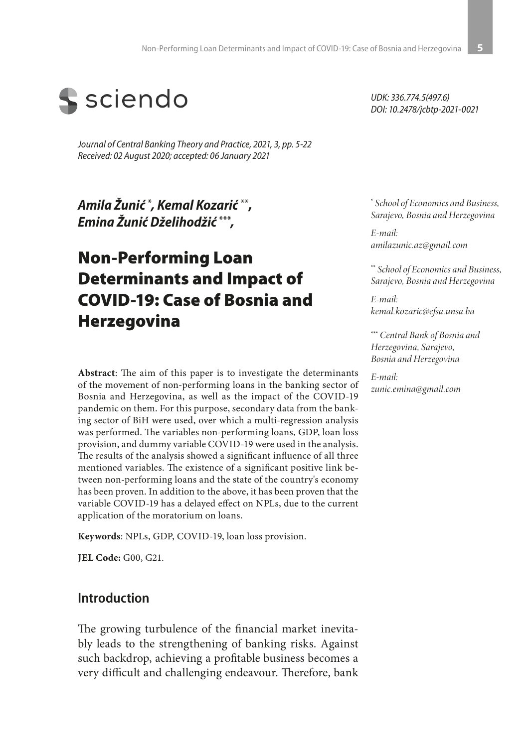

*Journal of Central Banking Theory and Practice, 2021, 3, pp. 5-22 Received: 02 August 2020; accepted: 06 January 2021*

*Amila Žunić* **\*** *, Kemal Kozarić* **\*\*,**  *Emina Žunić Dželihodžić* **\*\*\****,*

# Non-Performing Loan Determinants and Impact of COVID-19: Case of Bosnia and Herzegovina

**Abstract**: The aim of this paper is to investigate the determinants of the movement of non-performing loans in the banking sector of Bosnia and Herzegovina, as well as the impact of the COVID-19 pandemic on them. For this purpose, secondary data from the banking sector of BiH were used, over which a multi-regression analysis was performed. The variables non-performing loans, GDP, loan loss provision, and dummy variable COVID-19 were used in the analysis. The results of the analysis showed a significant influence of all three mentioned variables. The existence of a significant positive link between non-performing loans and the state of the country's economy has been proven. In addition to the above, it has been proven that the variable COVID-19 has a delayed effect on NPLs, due to the current application of the moratorium on loans.

**Keywords**: NPLs, GDP, COVID-19, loan loss provision.

**JEL Code:** G00, G21.

### **Introduction**

The growing turbulence of the financial market inevitably leads to the strengthening of banking risks. Against such backdrop, achieving a profitable business becomes a very difficult and challenging endeavour. Therefore, bank *UDK: 336.774.5(497.6) DOI: 10.2478/jcbtp-2021-0021*

**\***  *School of Economics and Business, Sarajevo, Bosnia and Herzegovina*

*E-mail: amilazunic.az@gmail.com*

**\*\*** *School of Economics and Business, Sarajevo, Bosnia and Herzegovina*

*E-mail: kemal.kozaric@efsa.unsa.ba*

**\*\*\*** *Central Bank of Bosnia and Herzegovina, Sarajevo, Bosnia and Herzegovina*

*E-mail: zunic.emina@gmail.com*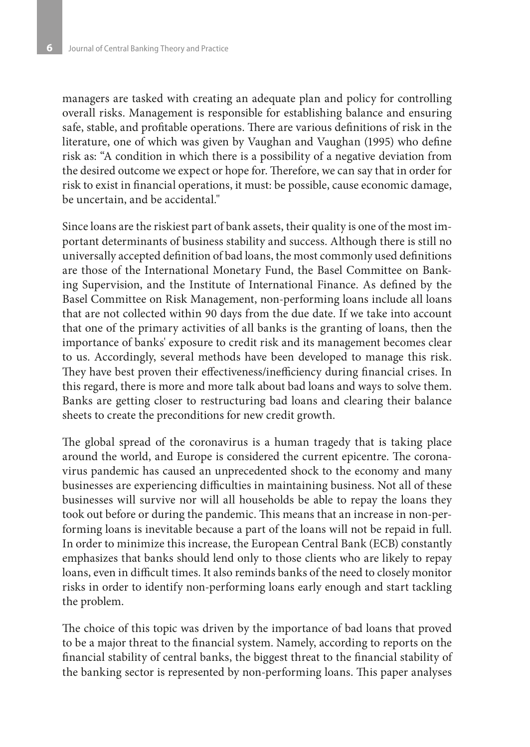managers are tasked with creating an adequate plan and policy for controlling overall risks. Management is responsible for establishing balance and ensuring safe, stable, and profitable operations. There are various definitions of risk in the literature, one of which was given by Vaughan and Vaughan (1995) who define risk as: "A condition in which there is a possibility of a negative deviation from the desired outcome we expect or hope for. Therefore, we can say that in order for risk to exist in financial operations, it must: be possible, cause economic damage, be uncertain, and be accidental."

Since loans are the riskiest part of bank assets, their quality is one of the most important determinants of business stability and success. Although there is still no universally accepted definition of bad loans, the most commonly used definitions are those of the International Monetary Fund, the Basel Committee on Banking Supervision, and the Institute of International Finance. As defined by the Basel Committee on Risk Management, non-performing loans include all loans that are not collected within 90 days from the due date. If we take into account that one of the primary activities of all banks is the granting of loans, then the importance of banks' exposure to credit risk and its management becomes clear to us. Accordingly, several methods have been developed to manage this risk. They have best proven their effectiveness/inefficiency during financial crises. In this regard, there is more and more talk about bad loans and ways to solve them. Banks are getting closer to restructuring bad loans and clearing their balance sheets to create the preconditions for new credit growth.

The global spread of the coronavirus is a human tragedy that is taking place around the world, and Europe is considered the current epicentre. The coronavirus pandemic has caused an unprecedented shock to the economy and many businesses are experiencing difficulties in maintaining business. Not all of these businesses will survive nor will all households be able to repay the loans they took out before or during the pandemic. This means that an increase in non-performing loans is inevitable because a part of the loans will not be repaid in full. In order to minimize this increase, the European Central Bank (ECB) constantly emphasizes that banks should lend only to those clients who are likely to repay loans, even in difficult times. It also reminds banks of the need to closely monitor risks in order to identify non-performing loans early enough and start tackling the problem.

The choice of this topic was driven by the importance of bad loans that proved to be a major threat to the financial system. Namely, according to reports on the financial stability of central banks, the biggest threat to the financial stability of the banking sector is represented by non-performing loans. This paper analyses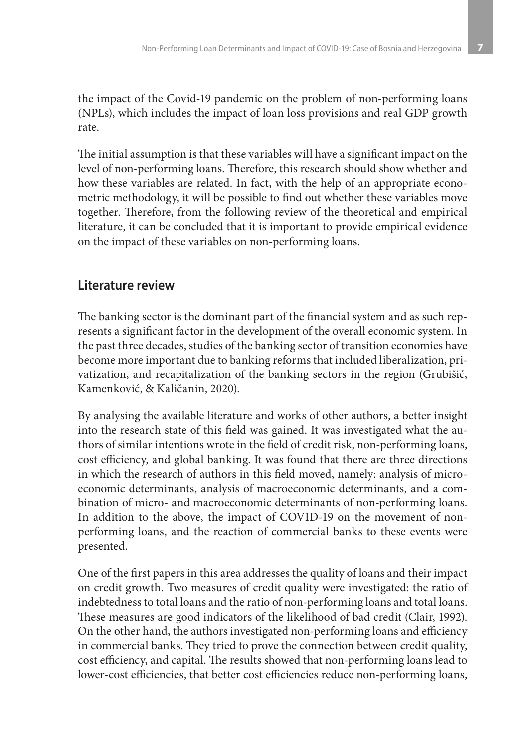the impact of the Covid-19 pandemic on the problem of non-performing loans (NPLs), which includes the impact of loan loss provisions and real GDP growth rate.

The initial assumption is that these variables will have a significant impact on the level of non-performing loans. Therefore, this research should show whether and how these variables are related. In fact, with the help of an appropriate econometric methodology, it will be possible to find out whether these variables move together. Therefore, from the following review of the theoretical and empirical literature, it can be concluded that it is important to provide empirical evidence on the impact of these variables on non-performing loans.

# **Literature review**

The banking sector is the dominant part of the financial system and as such represents a significant factor in the development of the overall economic system. In the past three decades, studies of the banking sector of transition economies have become more important due to banking reforms that included liberalization, privatization, and recapitalization of the banking sectors in the region (Grubišić, Kamenković, & Kaličanin, 2020).

By analysing the available literature and works of other authors, a better insight into the research state of this field was gained. It was investigated what the authors of similar intentions wrote in the field of credit risk, non-performing loans, cost efficiency, and global banking. It was found that there are three directions in which the research of authors in this field moved, namely: analysis of microeconomic determinants, analysis of macroeconomic determinants, and a combination of micro- and macroeconomic determinants of non-performing loans. In addition to the above, the impact of COVID-19 on the movement of nonperforming loans, and the reaction of commercial banks to these events were presented.

One of the first papers in this area addresses the quality of loans and their impact on credit growth. Two measures of credit quality were investigated: the ratio of indebtedness to total loans and the ratio of non-performing loans and total loans. These measures are good indicators of the likelihood of bad credit (Clair, 1992). On the other hand, the authors investigated non-performing loans and efficiency in commercial banks. They tried to prove the connection between credit quality, cost efficiency, and capital. The results showed that non-performing loans lead to lower-cost efficiencies, that better cost efficiencies reduce non-performing loans,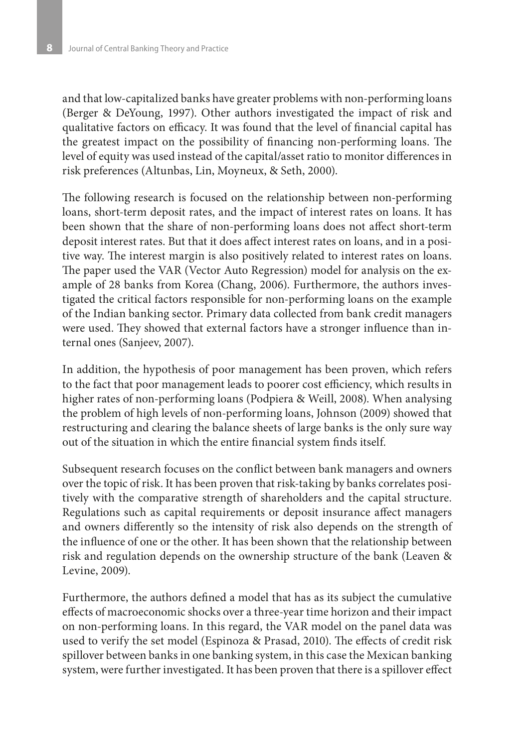and that low-capitalized banks have greater problems with non-performing loans (Berger & DeYoung, 1997). Other authors investigated the impact of risk and qualitative factors on efficacy. It was found that the level of financial capital has the greatest impact on the possibility of financing non-performing loans. The level of equity was used instead of the capital/asset ratio to monitor differences in risk preferences (Altunbas, Lin, Moyneux, & Seth, 2000).

The following research is focused on the relationship between non-performing loans, short-term deposit rates, and the impact of interest rates on loans. It has been shown that the share of non-performing loans does not affect short-term deposit interest rates. But that it does affect interest rates on loans, and in a positive way. The interest margin is also positively related to interest rates on loans. The paper used the VAR (Vector Auto Regression) model for analysis on the example of 28 banks from Korea (Chang, 2006). Furthermore, the authors investigated the critical factors responsible for non-performing loans on the example of the Indian banking sector. Primary data collected from bank credit managers were used. They showed that external factors have a stronger influence than internal ones (Sanjeev, 2007).

In addition, the hypothesis of poor management has been proven, which refers to the fact that poor management leads to poorer cost efficiency, which results in higher rates of non-performing loans (Podpiera & Weill, 2008). When analysing the problem of high levels of non-performing loans, Johnson (2009) showed that restructuring and clearing the balance sheets of large banks is the only sure way out of the situation in which the entire financial system finds itself.

Subsequent research focuses on the conflict between bank managers and owners over the topic of risk. It has been proven that risk-taking by banks correlates positively with the comparative strength of shareholders and the capital structure. Regulations such as capital requirements or deposit insurance affect managers and owners differently so the intensity of risk also depends on the strength of the influence of one or the other. It has been shown that the relationship between risk and regulation depends on the ownership structure of the bank (Leaven & Levine, 2009).

Furthermore, the authors defined a model that has as its subject the cumulative effects of macroeconomic shocks over a three-year time horizon and their impact on non-performing loans. In this regard, the VAR model on the panel data was used to verify the set model (Espinoza & Prasad, 2010). The effects of credit risk spillover between banks in one banking system, in this case the Mexican banking system, were further investigated. It has been proven that there is a spillover effect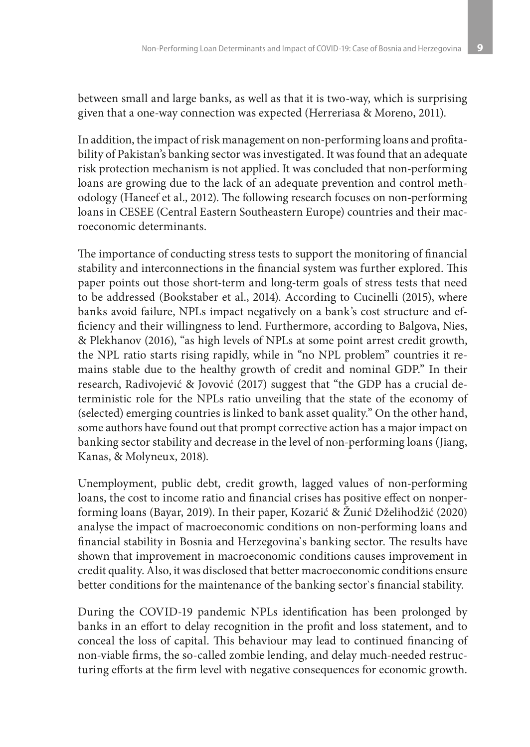between small and large banks, as well as that it is two-way, which is surprising given that a one-way connection was expected (Herreriasa & Moreno, 2011).

In addition, the impact of risk management on non-performing loans and profitability of Pakistan's banking sector was investigated. It was found that an adequate risk protection mechanism is not applied. It was concluded that non-performing loans are growing due to the lack of an adequate prevention and control methodology (Haneef et al., 2012). The following research focuses on non-performing loans in CESEE (Central Eastern Southeastern Europe) countries and their macroeconomic determinants.

The importance of conducting stress tests to support the monitoring of financial stability and interconnections in the financial system was further explored. This paper points out those short-term and long-term goals of stress tests that need to be addressed (Bookstaber et al., 2014). According to Cucinelli (2015), where banks avoid failure, NPLs impact negatively on a bank's cost structure and efficiency and their willingness to lend. Furthermore, according to Balgova, Nies, & Plekhanov (2016), "as high levels of NPLs at some point arrest credit growth, the NPL ratio starts rising rapidly, while in "no NPL problem" countries it remains stable due to the healthy growth of credit and nominal GDP." In their research, Radivojević & Jovović (2017) suggest that "the GDP has a crucial deterministic role for the NPLs ratio unveiling that the state of the economy of (selected) emerging countries is linked to bank asset quality." On the other hand, some authors have found out that prompt corrective action has a major impact on banking sector stability and decrease in the level of non-performing loans (Jiang, Kanas, & Molyneux, 2018).

Unemployment, public debt, credit growth, lagged values of non-performing loans, the cost to income ratio and financial crises has positive effect on nonperforming loans (Bayar, 2019). In their paper, Kozarić & Žunić Dželihodžić (2020) analyse the impact of macroeconomic conditions on non-performing loans and financial stability in Bosnia and Herzegovina`s banking sector. The results have shown that improvement in macroeconomic conditions causes improvement in credit quality. Also, it was disclosed that better macroeconomic conditions ensure better conditions for the maintenance of the banking sector`s financial stability.

During the COVID-19 pandemic NPLs identification has been prolonged by banks in an effort to delay recognition in the profit and loss statement, and to conceal the loss of capital. This behaviour may lead to continued financing of non-viable firms, the so-called zombie lending, and delay much-needed restructuring efforts at the firm level with negative consequences for economic growth.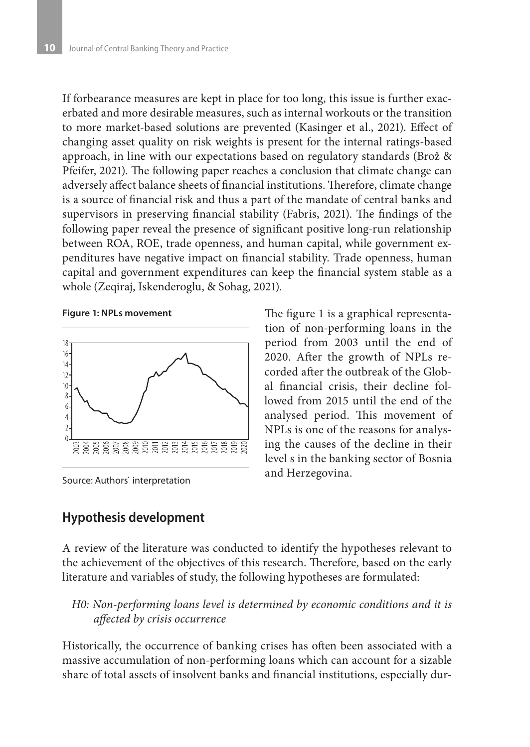If forbearance measures are kept in place for too long, this issue is further exacerbated and more desirable measures, such as internal workouts or the transition to more market-based solutions are prevented (Kasinger et al., 2021). Effect of changing asset quality on risk weights is present for the internal ratings-based approach, in line with our expectations based on regulatory standards (Brož & Pfeifer, 2021). The following paper reaches a conclusion that climate change can adversely affect balance sheets of financial institutions. Therefore, climate change is a source of financial risk and thus a part of the mandate of central banks and supervisors in preserving financial stability (Fabris, 2021). The findings of the following paper reveal the presence of significant positive long-run relationship between ROA, ROE, trade openness, and human capital, while government expenditures have negative impact on financial stability. Trade openness, human capital and government expenditures can keep the financial system stable as a whole (Zeqiraj, Iskenderoglu, & Sohag, 2021).

**Figure 1: NPLs movement**



Source: Authors` interpretation

The figure 1 is a graphical representation of non-performing loans in the period from 2003 until the end of 2020. After the growth of NPLs recorded after the outbreak of the Global financial crisis, their decline followed from 2015 until the end of the analysed period. This movement of NPLs is one of the reasons for analysing the causes of the decline in their level s in the banking sector of Bosnia and Herzegovina.

# **Hypothesis development**

A review of the literature was conducted to identify the hypotheses relevant to the achievement of the objectives of this research. Therefore, based on the early literature and variables of study, the following hypotheses are formulated:

*H0: Non-performing loans level is determined by economic conditions and it is affected by crisis occurrence*

Historically, the occurrence of banking crises has often been associated with a massive accumulation of non-performing loans which can account for a sizable share of total assets of insolvent banks and financial institutions, especially dur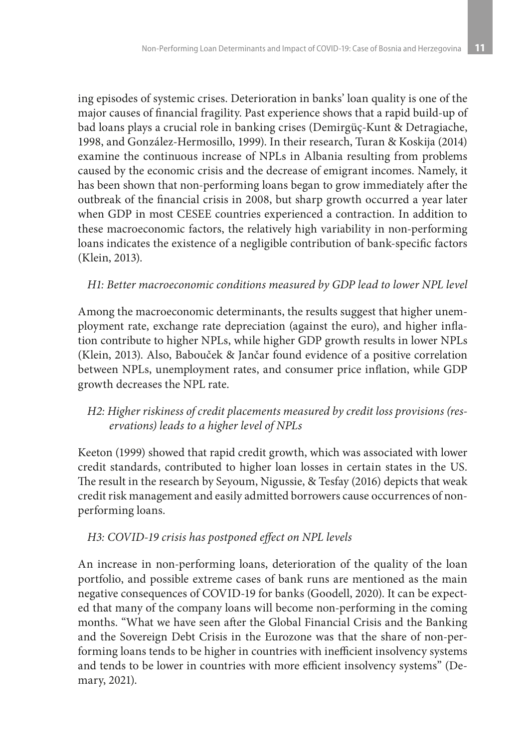ing episodes of systemic crises. Deterioration in banks' loan quality is one of the major causes of financial fragility. Past experience shows that a rapid build-up of bad loans plays a crucial role in banking crises (Demirgüç-Kunt & Detragiache, 1998, and González-Hermosillo, 1999). In their research, Turan & Koskija (2014) examine the continuous increase of NPLs in Albania resulting from problems caused by the economic crisis and the decrease of emigrant incomes. Namely, it has been shown that non-performing loans began to grow immediately after the outbreak of the financial crisis in 2008, but sharp growth occurred a year later when GDP in most CESEE countries experienced a contraction. In addition to these macroeconomic factors, the relatively high variability in non-performing loans indicates the existence of a negligible contribution of bank-specific factors (Klein, 2013).

### *H1: Better macroeconomic conditions measured by GDP lead to lower NPL level*

Among the macroeconomic determinants, the results suggest that higher unemployment rate, exchange rate depreciation (against the euro), and higher inflation contribute to higher NPLs, while higher GDP growth results in lower NPLs (Klein, 2013). Also, Babouček & Jančar found evidence of a positive correlation between NPLs, unemployment rates, and consumer price inflation, while GDP growth decreases the NPL rate.

### *H2: Higher riskiness of credit placements measured by credit loss provisions (reservations) leads to a higher level of NPLs*

Keeton (1999) showed that rapid credit growth, which was associated with lower credit standards, contributed to higher loan losses in certain states in the US. The result in the research by Seyoum, Nigussie, & Tesfay (2016) depicts that weak credit risk management and easily admitted borrowers cause occurrences of nonperforming loans.

#### *H3: COVID-19 crisis has postponed effect on NPL levels*

An increase in non-performing loans, deterioration of the quality of the loan portfolio, and possible extreme cases of bank runs are mentioned as the main negative consequences of COVID-19 for banks (Goodell, 2020). It can be expected that many of the company loans will become non-performing in the coming months. "What we have seen after the Global Financial Crisis and the Banking and the Sovereign Debt Crisis in the Eurozone was that the share of non-performing loans tends to be higher in countries with inefficient insolvency systems and tends to be lower in countries with more efficient insolvency systems" (Demary, 2021).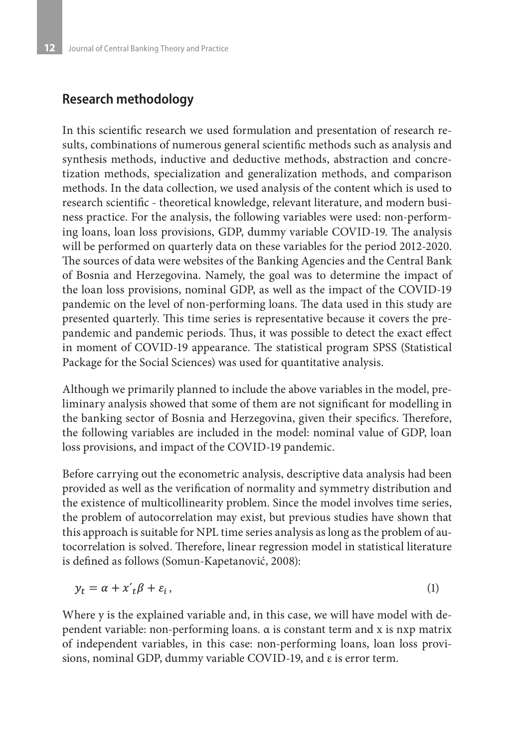### **Research methodology**

In this scientific research we used formulation and presentation of research results, combinations of numerous general scientific methods such as analysis and synthesis methods, inductive and deductive methods, abstraction and concretization methods, specialization and generalization methods, and comparison methods. In the data collection, we used analysis of the content which is used to research scientific - theoretical knowledge, relevant literature, and modern business practice. For the analysis, the following variables were used: non-performing loans, loan loss provisions, GDP, dummy variable COVID-19. The analysis will be performed on quarterly data on these variables for the period 2012-2020. The sources of data were websites of the Banking Agencies and the Central Bank of Bosnia and Herzegovina. Namely, the goal was to determine the impact of the loan loss provisions, nominal GDP, as well as the impact of the COVID-19 pandemic on the level of non-performing loans. The data used in this study are presented quarterly. This time series is representative because it covers the prepandemic and pandemic periods. Thus, it was possible to detect the exact effect in moment of COVID-19 appearance. The statistical program SPSS (Statistical Package for the Social Sciences) was used for quantitative analysis.

Although we primarily planned to include the above variables in the model, preliminary analysis showed that some of them are not significant for modelling in the banking sector of Bosnia and Herzegovina, given their specifics. Therefore, the following variables are included in the model: nominal value of GDP, loan loss provisions, and impact of the COVID-19 pandemic.

Before carrying out the econometric analysis, descriptive data analysis had been provided as well as the verification of normality and symmetry distribution and the existence of multicollinearity problem. Since the model involves time series, the problem of autocorrelation may exist, but previous studies have shown that this approach is suitable for NPL time series analysis as long as the problem of autocorrelation is solved. Therefore, linear regression model in statistical literature is defined as follows (Somun-Kapetanović, 2008):

$$
y_t = \alpha + x_t' \beta + \varepsilon_i, \tag{1}
$$

Where y is the explained variable and, in this case, we will have model with dependent variable: non-performing loans. α is constant term and x is nxp matrix of independent variables, in this case: non-performing loans, loan loss provisions, nominal GDP, dummy variable COVID-19, and ε is error term.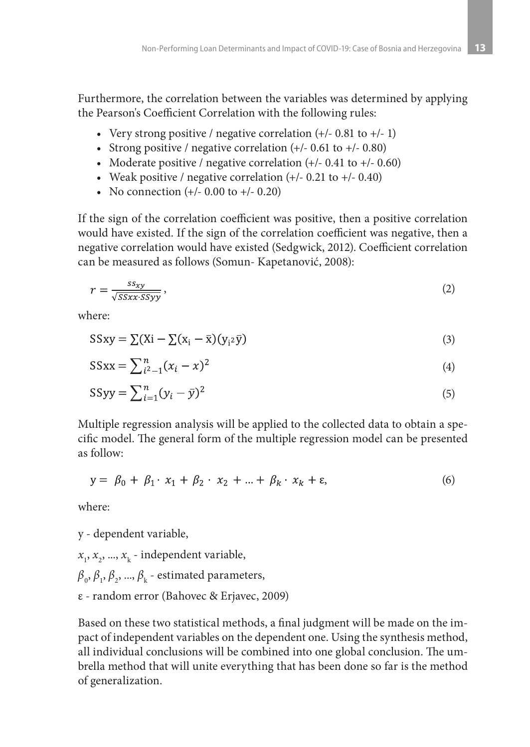Furthermore, the correlation between the variables was determined by applying the Pearson's Coefficient Correlation with the following rules:

- Very strong positive / negative correlation  $(+/- 0.81$  to  $+/- 1)$
- Strong positive / negative correlation  $(+/- 0.61$  to  $+/- 0.80)$
- Moderate positive / negative correlation  $(+/- 0.41$  to  $+/- 0.60)$
- Weak positive / negative correlation  $(+/- 0.21$  to  $+/- 0.40)$
- No connection  $(+/- 0.00$  to  $+/- 0.20)$

If the sign of the correlation coefficient was positive, then a positive correlation would have existed. If the sign of the correlation coefficient was negative, then a negative correlation would have existed (Sedgwick, 2012). Coefficient correlation can be measured as follows (Somun- Kapetanović, 2008):

$$
r = \frac{ss_{xy}}{\sqrt{SSxx \cdot SSyy}}\,,\tag{2}
$$

where:

$$
SSxy = \sum (Xi - \overline{\chi})(x_i - \overline{x})(y_i \overline{y})
$$
\n(3)

$$
SSxx = \sum_{i^2 - 1}^{n} (x_i - x)^2
$$
 (4)

$$
SSyy = \sum_{i=1}^{n} (y_i - \bar{y})^2
$$
\n<sup>(5)</sup>

Multiple regression analysis will be applied to the collected data to obtain a specific model. The general form of the multiple regression model can be presented as follow:

$$
y = \beta_0 + \beta_1 \cdot x_1 + \beta_2 \cdot x_2 + \dots + \beta_k \cdot x_k + \varepsilon,\tag{6}
$$

where:

y - dependent variable,

- $x_{1}$ ,  $x_{2}$ , ...,  $x_{k}$  independent variable,
- $\beta_{0}$ ,  $\beta_{1}$ ,  $\beta_{2}$ , ...,  $\beta_{k}$  estimated parameters,
- ε random error (Bahovec & Erjavec, 2009)

Based on these two statistical methods, a final judgment will be made on the impact of independent variables on the dependent one. Using the synthesis method, all individual conclusions will be combined into one global conclusion. The umbrella method that will unite everything that has been done so far is the method of generalization.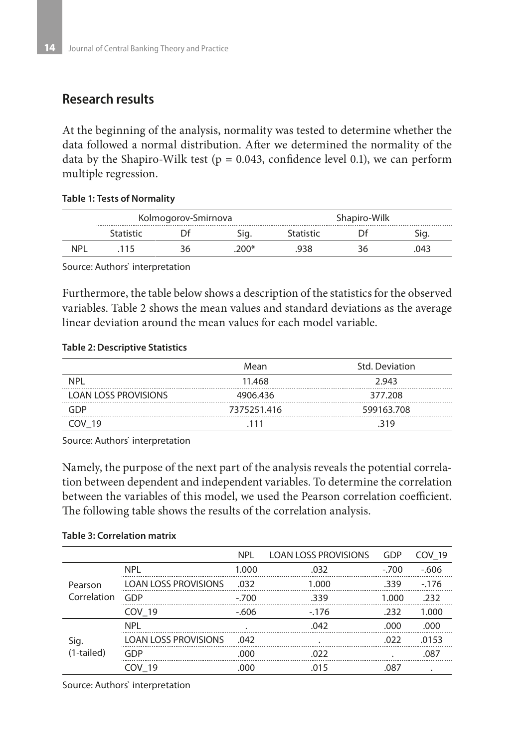# **Research results**

At the beginning of the analysis, normality was tested to determine whether the data followed a normal distribution. After we determined the normality of the data by the Shapiro-Wilk test ( $p = 0.043$ , confidence level 0.1), we can perform multiple regression.

#### **Table 1: Tests of Normality**

| Kolmogorov-Smirnova |  |     | Shapiro-Wilk |  |    |
|---------------------|--|-----|--------------|--|----|
|                     |  |     |              |  |    |
|                     |  | በበነ |              |  | ìД |

Source: Authors` interpretation

Furthermore, the table below shows a description of the statistics for the observed variables. Table 2 shows the mean values and standard deviations as the average linear deviation around the mean values for each model variable.

#### **Table 2: Descriptive Statistics**

|                             | Mean        | Std. Deviation |
|-----------------------------|-------------|----------------|
| <b>NPI</b>                  | 11.468      | 2943           |
| <b>LOAN LOSS PROVISIONS</b> | 4906.436    | 377.208        |
| GDP                         | 7375251.416 | 599163.708     |
| OV 19                       | 111         | 319            |

Source: Authors` interpretation

Namely, the purpose of the next part of the analysis reveals the potential correlation between dependent and independent variables. To determine the correlation between the variables of this model, we used the Pearson correlation coefficient. The following table shows the results of the correlation analysis.

|              |                             | <b>NPL</b> | <b>LOAN LOSS PROVISIONS</b> | GDP     | <b>COV 19</b> |
|--------------|-----------------------------|------------|-----------------------------|---------|---------------|
|              | <b>NPL</b>                  | 1.000      | .032                        | $-.700$ | $-606$        |
| Pearson      | <b>LOAN LOSS PROVISIONS</b> | .032       | 1.000                       | .339    | $-176$        |
| Correlation  | GDP                         | $-.700$    | .339                        | 1.000   | .232          |
|              | COV 19                      | $-606$     | $-176$                      | .232    | 1.000         |
|              | <b>NPI</b>                  |            | .042                        | .000    | .000          |
| Sig.         | <b>LOAN LOSS PROVISIONS</b> | .042       |                             | .022    | .0153         |
| $(1-tailed)$ | GDP                         | .000       | .022                        |         | .087          |
|              | COV 19                      | .000       | .015                        | .087    |               |

#### **Table 3: Correlation matrix**

Source: Authors` interpretation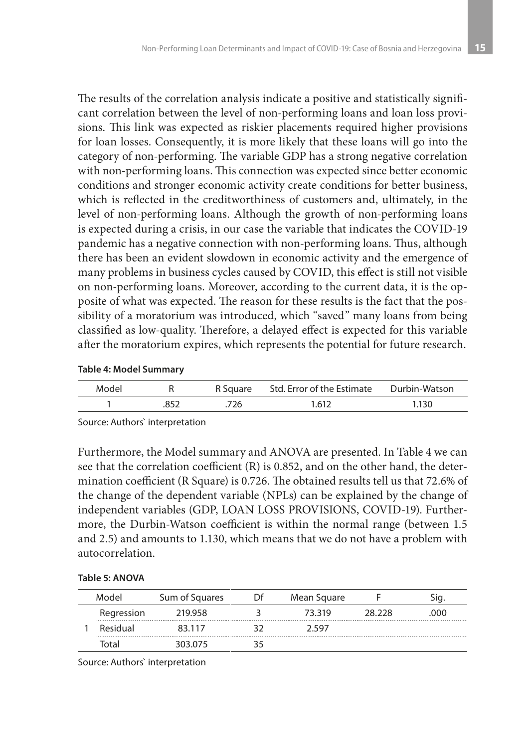The results of the correlation analysis indicate a positive and statistically significant correlation between the level of non-performing loans and loan loss provisions. This link was expected as riskier placements required higher provisions for loan losses. Consequently, it is more likely that these loans will go into the category of non-performing. The variable GDP has a strong negative correlation with non-performing loans. This connection was expected since better economic conditions and stronger economic activity create conditions for better business, which is reflected in the creditworthiness of customers and, ultimately, in the level of non-performing loans. Although the growth of non-performing loans is expected during a crisis, in our case the variable that indicates the COVID-19 pandemic has a negative connection with non-performing loans. Thus, although there has been an evident slowdown in economic activity and the emergence of many problems in business cycles caused by COVID, this effect is still not visible on non-performing loans. Moreover, according to the current data, it is the opposite of what was expected. The reason for these results is the fact that the possibility of a moratorium was introduced, which "saved" many loans from being classified as low-quality. Therefore, a delayed effect is expected for this variable after the moratorium expires, which represents the potential for future research.

#### **Table 4: Model Summary**

| Model |     |     | R Square Std. Error of the Estimate Durbin-Watson |                 |
|-------|-----|-----|---------------------------------------------------|-----------------|
|       | 852 | 726 | 1.612                                             | $^{\circ}$ .130 |

Source: Authors` interpretation

Furthermore, the Model summary and ANOVA are presented. In Table 4 we can see that the correlation coefficient (R) is 0.852, and on the other hand, the determination coefficient (R Square) is 0.726. The obtained results tell us that 72.6% of the change of the dependent variable (NPLs) can be explained by the change of independent variables (GDP, LOAN LOSS PROVISIONS, COVID-19). Furthermore, the Durbin-Watson coefficient is within the normal range (between 1.5 and 2.5) and amounts to 1.130, which means that we do not have a problem with autocorrelation.

| Table 5: ANOVA |  |  |  |  |
|----------------|--|--|--|--|
|----------------|--|--|--|--|

|  | Model           | Sum of Squares | ΓH | Mean Square |        |     |
|--|-----------------|----------------|----|-------------|--------|-----|
|  | Regression      | 219.958        |    | 73 319      | 28 228 | റററ |
|  | <b>Residual</b> | 83 117         |    | 2 597       |        |     |
|  | lotal           | 303.075        |    |             |        |     |

Source: Authors` interpretation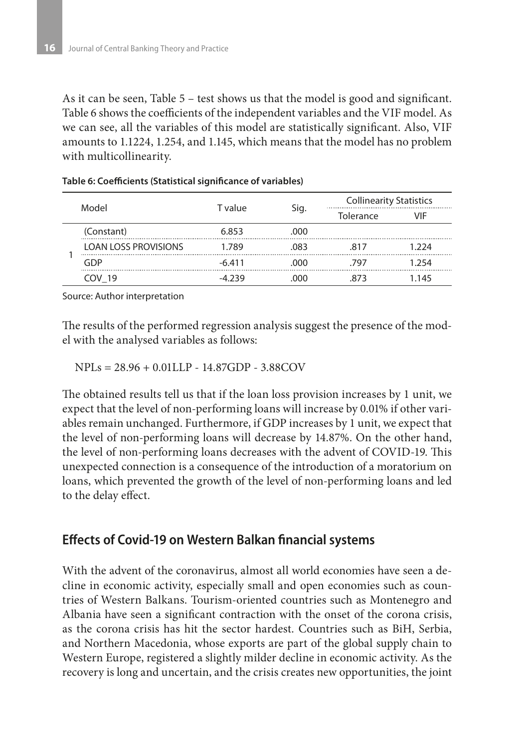As it can be seen, Table 5 – test shows us that the model is good and significant. Table 6 shows the coefficients of the independent variables and the VIF model. As we can see, all the variables of this model are statistically significant. Also, VIF amounts to 1.1224, 1.254, and 1.145, which means that the model has no problem with multicollinearity.

| Model |                             | T value  |      | <b>Collinearity Statistics</b> |       |
|-------|-----------------------------|----------|------|--------------------------------|-------|
|       |                             |          | Sig. | Tolerance                      | VIF   |
|       | (Constant)                  | 6.853    | .000 |                                |       |
|       | <b>LOAN LOSS PROVISIONS</b> | 1.789    | .083 | 817                            | 1.224 |
|       | GDP                         | $-6.411$ | റററ  | 797                            | 1 254 |
|       | JV 19                       | -4 ววด   |      |                                | 1 145 |

#### **Table 6: Coefficients (Statistical significance of variables)**

Source: Author interpretation

The results of the performed regression analysis suggest the presence of the model with the analysed variables as follows:

NPLs = 28.96 + 0.01LLP - 14.87GDP - 3.88COV

The obtained results tell us that if the loan loss provision increases by 1 unit, we expect that the level of non-performing loans will increase by 0.01% if other variables remain unchanged. Furthermore, if GDP increases by 1 unit, we expect that the level of non-performing loans will decrease by 14.87%. On the other hand, the level of non-performing loans decreases with the advent of COVID-19. This unexpected connection is a consequence of the introduction of a moratorium on loans, which prevented the growth of the level of non-performing loans and led to the delay effect.

### **Effects of Covid-19 on Western Balkan financial systems**

With the advent of the coronavirus, almost all world economies have seen a decline in economic activity, especially small and open economies such as countries of Western Balkans. Tourism-oriented countries such as Montenegro and Albania have seen a significant contraction with the onset of the corona crisis, as the corona crisis has hit the sector hardest. Countries such as BiH, Serbia, and Northern Macedonia, whose exports are part of the global supply chain to Western Europe, registered a slightly milder decline in economic activity. As the recovery is long and uncertain, and the crisis creates new opportunities, the joint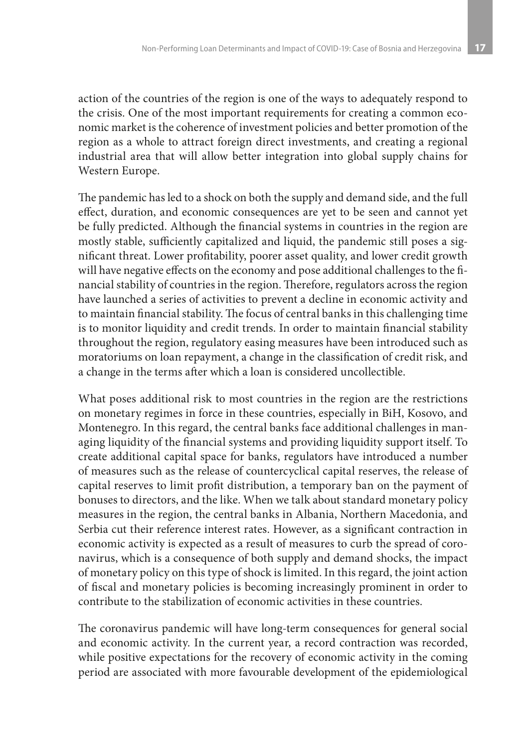action of the countries of the region is one of the ways to adequately respond to the crisis. One of the most important requirements for creating a common economic market is the coherence of investment policies and better promotion of the region as a whole to attract foreign direct investments, and creating a regional industrial area that will allow better integration into global supply chains for Western Europe.

The pandemic has led to a shock on both the supply and demand side, and the full effect, duration, and economic consequences are yet to be seen and cannot yet be fully predicted. Although the financial systems in countries in the region are mostly stable, sufficiently capitalized and liquid, the pandemic still poses a significant threat. Lower profitability, poorer asset quality, and lower credit growth will have negative effects on the economy and pose additional challenges to the financial stability of countries in the region. Therefore, regulators across the region have launched a series of activities to prevent a decline in economic activity and to maintain financial stability. The focus of central banks in this challenging time is to monitor liquidity and credit trends. In order to maintain financial stability throughout the region, regulatory easing measures have been introduced such as moratoriums on loan repayment, a change in the classification of credit risk, and a change in the terms after which a loan is considered uncollectible.

What poses additional risk to most countries in the region are the restrictions on monetary regimes in force in these countries, especially in BiH, Kosovo, and Montenegro. In this regard, the central banks face additional challenges in managing liquidity of the financial systems and providing liquidity support itself. To create additional capital space for banks, regulators have introduced a number of measures such as the release of countercyclical capital reserves, the release of capital reserves to limit profit distribution, a temporary ban on the payment of bonuses to directors, and the like. When we talk about standard monetary policy measures in the region, the central banks in Albania, Northern Macedonia, and Serbia cut their reference interest rates. However, as a significant contraction in economic activity is expected as a result of measures to curb the spread of coronavirus, which is a consequence of both supply and demand shocks, the impact of monetary policy on this type of shock is limited. In this regard, the joint action of fiscal and monetary policies is becoming increasingly prominent in order to contribute to the stabilization of economic activities in these countries.

The coronavirus pandemic will have long-term consequences for general social and economic activity. In the current year, a record contraction was recorded, while positive expectations for the recovery of economic activity in the coming period are associated with more favourable development of the epidemiological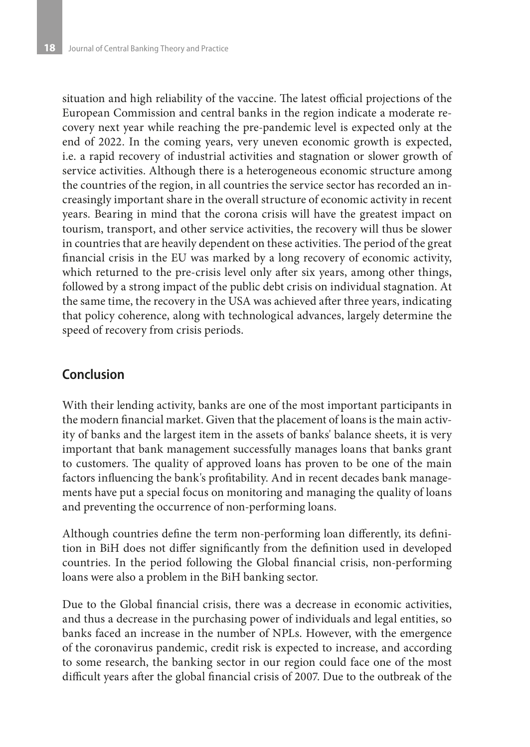situation and high reliability of the vaccine. The latest official projections of the European Commission and central banks in the region indicate a moderate recovery next year while reaching the pre-pandemic level is expected only at the end of 2022. In the coming years, very uneven economic growth is expected, i.e. a rapid recovery of industrial activities and stagnation or slower growth of service activities. Although there is a heterogeneous economic structure among the countries of the region, in all countries the service sector has recorded an increasingly important share in the overall structure of economic activity in recent years. Bearing in mind that the corona crisis will have the greatest impact on tourism, transport, and other service activities, the recovery will thus be slower in countries that are heavily dependent on these activities. The period of the great financial crisis in the EU was marked by a long recovery of economic activity, which returned to the pre-crisis level only after six years, among other things, followed by a strong impact of the public debt crisis on individual stagnation. At the same time, the recovery in the USA was achieved after three years, indicating that policy coherence, along with technological advances, largely determine the speed of recovery from crisis periods.

# **Conclusion**

With their lending activity, banks are one of the most important participants in the modern financial market. Given that the placement of loans is the main activity of banks and the largest item in the assets of banks' balance sheets, it is very important that bank management successfully manages loans that banks grant to customers. The quality of approved loans has proven to be one of the main factors influencing the bank's profitability. And in recent decades bank managements have put a special focus on monitoring and managing the quality of loans and preventing the occurrence of non-performing loans.

Although countries define the term non-performing loan differently, its definition in BiH does not differ significantly from the definition used in developed countries. In the period following the Global financial crisis, non-performing loans were also a problem in the BiH banking sector.

Due to the Global financial crisis, there was a decrease in economic activities, and thus a decrease in the purchasing power of individuals and legal entities, so banks faced an increase in the number of NPLs. However, with the emergence of the coronavirus pandemic, credit risk is expected to increase, and according to some research, the banking sector in our region could face one of the most difficult years after the global financial crisis of 2007. Due to the outbreak of the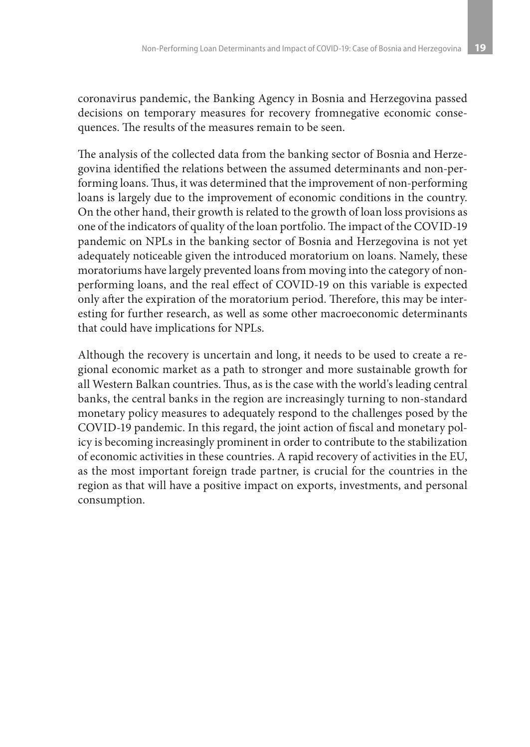coronavirus pandemic, the Banking Agency in Bosnia and Herzegovina passed decisions on temporary measures for recovery fromnegative economic consequences. The results of the measures remain to be seen.

The analysis of the collected data from the banking sector of Bosnia and Herzegovina identified the relations between the assumed determinants and non-performing loans. Thus, it was determined that the improvement of non-performing loans is largely due to the improvement of economic conditions in the country. On the other hand, their growth is related to the growth of loan loss provisions as one of the indicators of quality of the loan portfolio. The impact of the COVID-19 pandemic on NPLs in the banking sector of Bosnia and Herzegovina is not yet adequately noticeable given the introduced moratorium on loans. Namely, these moratoriums have largely prevented loans from moving into the category of nonperforming loans, and the real effect of COVID-19 on this variable is expected only after the expiration of the moratorium period. Therefore, this may be interesting for further research, as well as some other macroeconomic determinants that could have implications for NPLs.

Although the recovery is uncertain and long, it needs to be used to create a regional economic market as a path to stronger and more sustainable growth for all Western Balkan countries. Thus, as is the case with the world's leading central banks, the central banks in the region are increasingly turning to non-standard monetary policy measures to adequately respond to the challenges posed by the COVID-19 pandemic. In this regard, the joint action of fiscal and monetary policy is becoming increasingly prominent in order to contribute to the stabilization of economic activities in these countries. A rapid recovery of activities in the EU, as the most important foreign trade partner, is crucial for the countries in the region as that will have a positive impact on exports, investments, and personal consumption.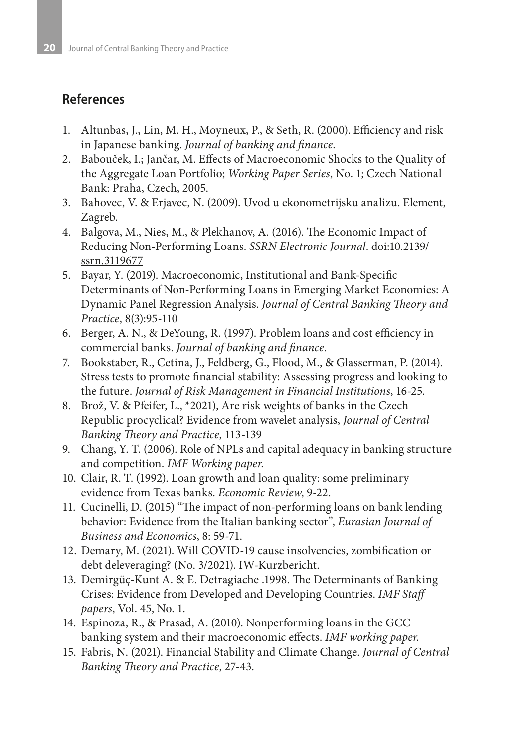# **References**

- 1. Altunbas, J., Lin, M. H., Moyneux, P., & Seth, R. (2000). Efficiency and risk in Japanese banking. *Journal of banking and finance*.
- 2. Babouček, I.; Jančar, M. Effects of Macroeconomic Shocks to the Quality of the Aggregate Loan Portfolio; *Working Paper Series*, No. 1; Czech National Bank: Praha, Czech, 2005.
- 3. Bahovec, V. & Erjavec, N. (2009). Uvod u ekonometrijsku analizu. Element, Zagreb.
- 4. Balgova, M., Nies, M., & Plekhanov, A. (2016). The Economic Impact of Reducing Non-Performing Loans. *SSRN Electronic Journal*. doi:10.2139/ ssrn.3119677
- 5. Bayar, Y. (2019). Macroeconomic, Institutional and Bank-Specific Determinants of Non-Performing Loans in Emerging Market Economies: A Dynamic Panel Regression Analysis. *Journal of Central Banking Theory and Practice*, 8(3):95-110
- 6. Berger, A. N., & DeYoung, R. (1997). Problem loans and cost efficiency in commercial banks. *Journal of banking and finance*.
- 7. Bookstaber, R., Cetina, J., Feldberg, G., Flood, M., & Glasserman, P. (2014). Stress tests to promote financial stability: Assessing progress and looking to the future. *Journal of Risk Management in Financial Institutions*, 16-25.
- 8. Brož, V. & Pfeifer, L., \*2021), Are risk weights of banks in the Czech Republic procyclical? Evidence from wavelet analysis, *Journal of Central Banking Theory and Practice*, 113-139
- 9. Chang, Y. T. (2006). Role of NPLs and capital adequacy in banking structure and competition. *IMF Working paper.*
- 10. Clair, R. T. (1992). Loan growth and loan quality: some preliminary evidence from Texas banks. *Economic Review*, 9-22.
- 11. Cucinelli, D. (2015) "The impact of non-performing loans on bank lending behavior: Evidence from the Italian banking sector", *Eurasian Journal of Business and Economics*, 8: 59-71.
- 12. Demary, M. (2021). Will COVID-19 cause insolvencies, zombification or debt deleveraging? (No. 3/2021). IW-Kurzbericht.
- 13. Demirgüç-Kunt A. & E. Detragiache .1998. The Determinants of Banking Crises: Evidence from Developed and Developing Countries. *IMF Staff papers*, Vol. 45, No. 1.
- 14. Espinoza, R., & Prasad, A. (2010). Nonperforming loans in the GCC banking system and their macroeconomic effects. *IMF working paper*.
- 15. Fabris, N. (2021). Financial Stability and Climate Change. *Journal of Central Banking Theory and Practice*, 27-43.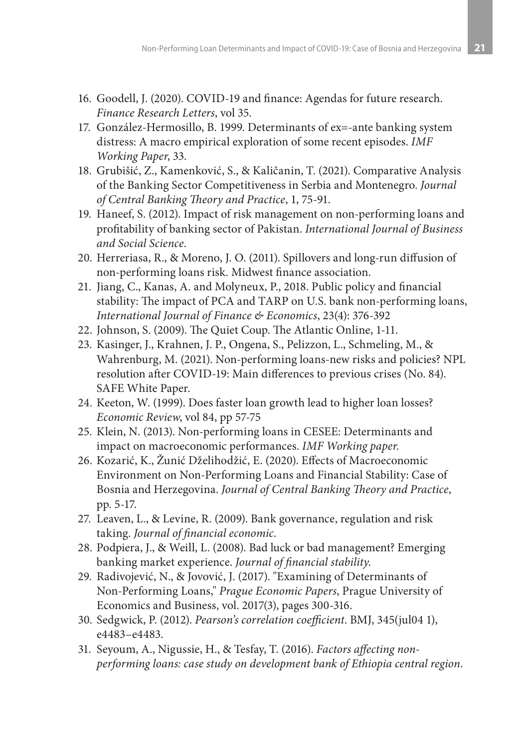- 16. Goodell, J. (2020). COVID-19 and finance: Agendas for future research. *Finance Research Letters*, vol 35.
- 17. González-Hermosillo, B. 1999. Determinants of ex=-ante banking system distress: A macro empirical exploration of some recent episodes. *IMF Working Paper*, 33.
- 18. Grubišić, Z., Kamenković, S., & Kaličanin, T. (2021). Comparative Analysis of the Banking Sector Competitiveness in Serbia and Montenegro. *Journal of Central Banking Theory and Practice*, 1, 75-91.
- 19. Haneef, S. (2012). Impact of risk management on non-performing loans and profitability of banking sector of Pakistan. *International Journal of Business and Social Science*.
- 20. Herreriasa, R., & Moreno, J. O. (2011). Spillovers and long-run diffusion of non-performing loans risk. Midwest finance association.
- 21. Jiang, C., Kanas, A. and Molyneux, P., 2018. Public policy and financial stability: The impact of PCA and TARP on U.S. bank non-performing loans, *International Journal of Finance & Economics*, 23(4): 376-392
- 22. Johnson, S. (2009). The Quiet Coup. The Atlantic Online, 1-11.
- 23. Kasinger, J., Krahnen, J. P., Ongena, S., Pelizzon, L., Schmeling, M., & Wahrenburg, M. (2021). Non-performing loans-new risks and policies? NPL resolution after COVID-19: Main differences to previous crises (No. 84). SAFE White Paper.
- 24. Keeton, W. (1999). Does faster loan growth lead to higher loan losses? *Economic Review*, vol 84, pp 57-75
- 25. Klein, N. (2013). Non-performing loans in CESEE: Determinants and impact on macroeconomic performances. *IMF Working paper*.
- 26. Kozarić, K., Žunić Dželihodžić, E. (2020). Effects of Macroeconomic Environment on Non-Performing Loans and Financial Stability: Case of Bosnia and Herzegovina. *Journal of Central Banking Theory and Practice*, pp. 5-17.
- 27. Leaven, L., & Levine, R. (2009). Bank governance, regulation and risk taking. *Journal of financial economic*.
- 28. Podpiera, J., & Weill, L. (2008). Bad luck or bad management? Emerging banking market experience. *Journal of financial stability*.
- 29. Radivojević, N., & Jovović, J. (2017). "Examining of Determinants of Non-Performing Loans," *Prague Economic Papers*, Prague University of Economics and Business, vol. 2017(3), pages 300-316.
- 30. Sedgwick, P. (2012). *Pearson's correlation coefficient*. BMJ, 345(jul04 1), e4483–e4483.
- 31. Seyoum, A., Nigussie, H., & Tesfay, T. (2016). *Factors affecting nonperforming loans: case study on development bank of Ethiopia central region*.